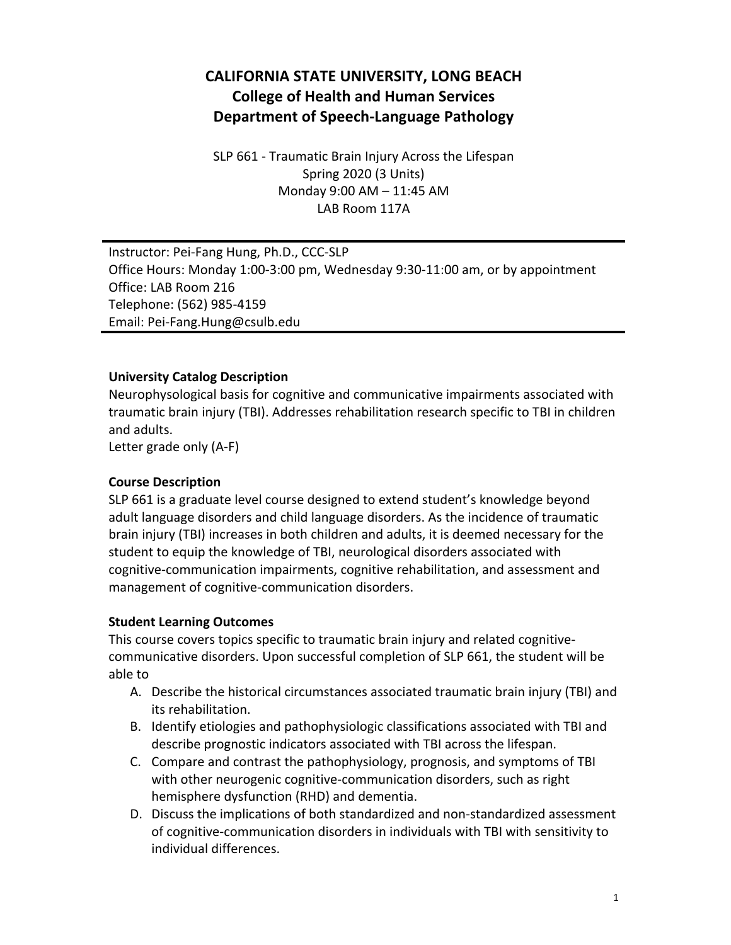# **CALIFORNIA STATE UNIVERSITY, LONG BEACH College of Health and Human Services Department of Speech-Language Pathology**

SLP 661 - Traumatic Brain Injury Across the Lifespan Spring 2020 (3 Units) Monday 9:00 AM – 11:45 AM LAB Room 117A

Instructor: Pei-Fang Hung, Ph.D., CCC-SLP Office Hours: Monday 1:00-3:00 pm, Wednesday 9:30-11:00 am, or by appointment Office: LAB Room 216 Telephone: (562) 985-4159 Email: Pei-Fang.Hung@csulb.edu

### **University Catalog Description**

Neurophysological basis for cognitive and communicative impairments associated with traumatic brain injury (TBI). Addresses rehabilitation research specific to TBI in children and adults.

Letter grade only (A-F)

#### **Course Description**

SLP 661 is a graduate level course designed to extend student's knowledge beyond adult language disorders and child language disorders. As the incidence of traumatic brain injury (TBI) increases in both children and adults, it is deemed necessary for the student to equip the knowledge of TBI, neurological disorders associated with cognitive-communication impairments, cognitive rehabilitation, and assessment and management of cognitive-communication disorders.

#### **Student Learning Outcomes**

This course covers topics specific to traumatic brain injury and related cognitivecommunicative disorders. Upon successful completion of SLP 661, the student will be able to

- A. Describe the historical circumstances associated traumatic brain injury (TBI) and its rehabilitation.
- B. Identify etiologies and pathophysiologic classifications associated with TBI and describe prognostic indicators associated with TBI across the lifespan.
- C. Compare and contrast the pathophysiology, prognosis, and symptoms of TBI with other neurogenic cognitive-communication disorders, such as right hemisphere dysfunction (RHD) and dementia.
- D. Discuss the implications of both standardized and non-standardized assessment of cognitive-communication disorders in individuals with TBI with sensitivity to individual differences.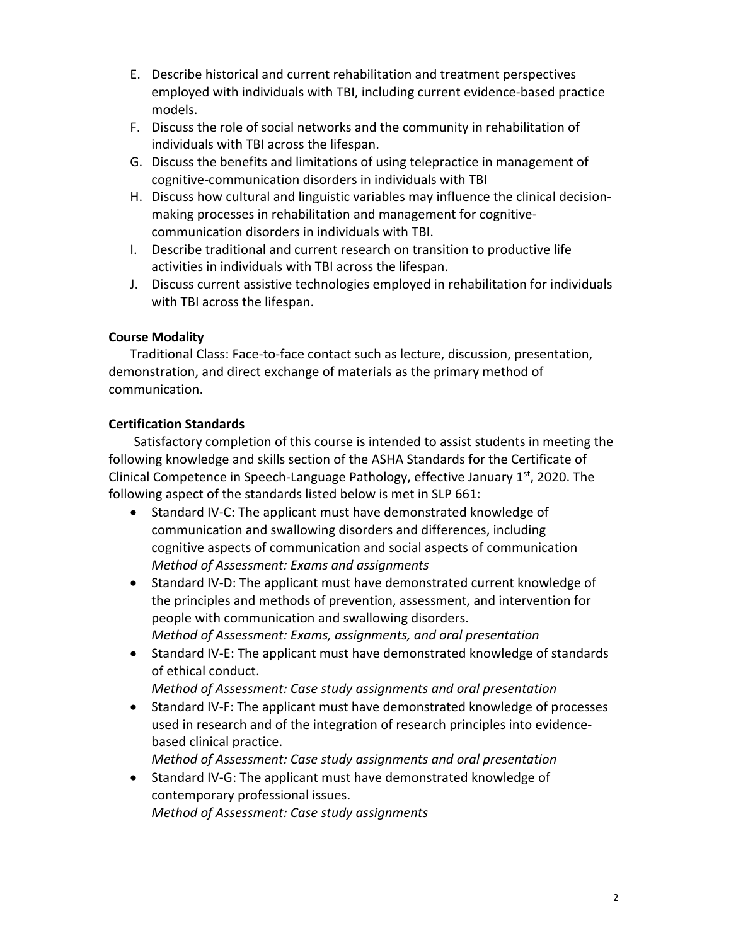- E. Describe historical and current rehabilitation and treatment perspectives employed with individuals with TBI, including current evidence-based practice models.
- F. Discuss the role of social networks and the community in rehabilitation of individuals with TBI across the lifespan.
- G. Discuss the benefits and limitations of using telepractice in management of cognitive-communication disorders in individuals with TBI
- H. Discuss how cultural and linguistic variables may influence the clinical decisionmaking processes in rehabilitation and management for cognitivecommunication disorders in individuals with TBI.
- I. Describe traditional and current research on transition to productive life activities in individuals with TBI across the lifespan.
- J. Discuss current assistive technologies employed in rehabilitation for individuals with TBI across the lifespan.

# **Course Modality**

Traditional Class: Face-to-face contact such as lecture, discussion, presentation, demonstration, and direct exchange of materials as the primary method of communication.

# **Certification Standards**

Satisfactory completion of this course is intended to assist students in meeting the following knowledge and skills section of the ASHA Standards for the Certificate of Clinical Competence in Speech-Language Pathology, effective January 1st, 2020. The following aspect of the standards listed below is met in SLP 661:

- Standard IV-C: The applicant must have demonstrated knowledge of communication and swallowing disorders and differences, including cognitive aspects of communication and social aspects of communication *Method of Assessment: Exams and assignments*
- Standard IV-D: The applicant must have demonstrated current knowledge of the principles and methods of prevention, assessment, and intervention for people with communication and swallowing disorders. *Method of Assessment: Exams, assignments, and oral presentation*
- Standard IV-E: The applicant must have demonstrated knowledge of standards of ethical conduct.
	- *Method of Assessment: Case study assignments and oral presentation*
- Standard IV-F: The applicant must have demonstrated knowledge of processes used in research and of the integration of research principles into evidencebased clinical practice.
	- *Method of Assessment: Case study assignments and oral presentation*
- Standard IV-G: The applicant must have demonstrated knowledge of contemporary professional issues. *Method of Assessment: Case study assignments*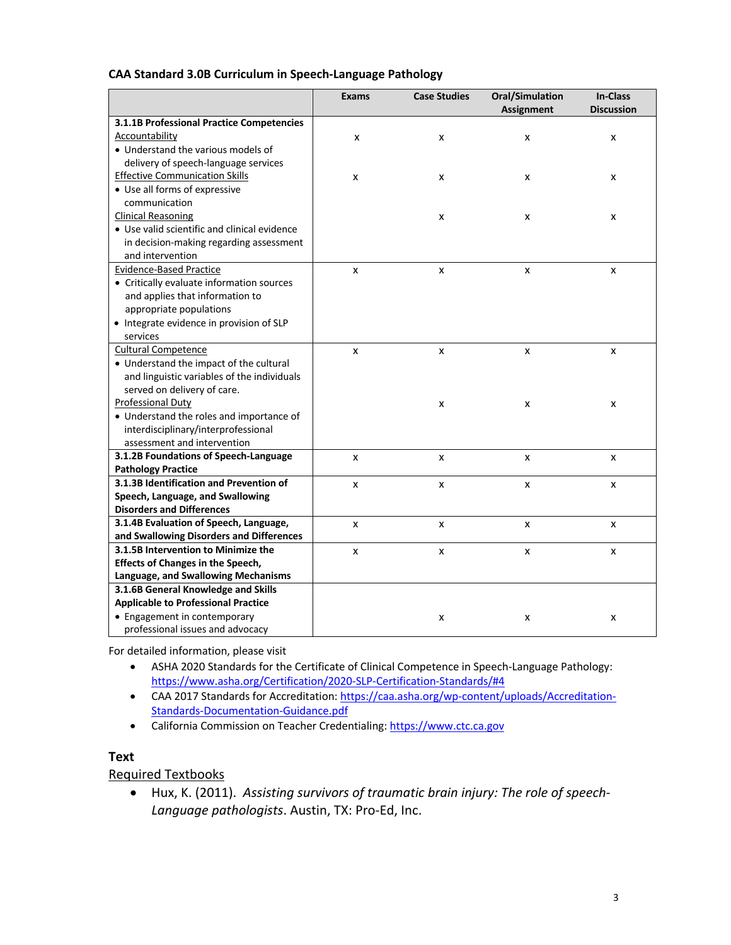#### **CAA Standard 3.0B Curriculum in Speech-Language Pathology**

|                                              | <b>Exams</b> | <b>Case Studies</b> | <b>Oral/Simulation</b> | <b>In-Class</b>   |
|----------------------------------------------|--------------|---------------------|------------------------|-------------------|
|                                              |              |                     | <b>Assignment</b>      | <b>Discussion</b> |
| 3.1.1B Professional Practice Competencies    |              |                     |                        |                   |
| Accountability                               | x            | x                   | x                      | x                 |
| • Understand the various models of           |              |                     |                        |                   |
| delivery of speech-language services         |              |                     |                        |                   |
| <b>Effective Communication Skills</b>        | X            | x                   | x                      | x                 |
| • Use all forms of expressive                |              |                     |                        |                   |
| communication                                |              |                     |                        |                   |
| <b>Clinical Reasoning</b>                    |              | x                   | x                      | x                 |
| • Use valid scientific and clinical evidence |              |                     |                        |                   |
| in decision-making regarding assessment      |              |                     |                        |                   |
| and intervention                             |              |                     |                        |                   |
| <b>Evidence-Based Practice</b>               | X            | X                   | x                      | X                 |
| • Critically evaluate information sources    |              |                     |                        |                   |
| and applies that information to              |              |                     |                        |                   |
| appropriate populations                      |              |                     |                        |                   |
| • Integrate evidence in provision of SLP     |              |                     |                        |                   |
| services                                     |              |                     |                        |                   |
| <b>Cultural Competence</b>                   | X            | x                   | X                      | x                 |
| • Understand the impact of the cultural      |              |                     |                        |                   |
| and linguistic variables of the individuals  |              |                     |                        |                   |
| served on delivery of care.                  |              |                     |                        |                   |
| Professional Duty                            |              | x                   | x                      | x                 |
| • Understand the roles and importance of     |              |                     |                        |                   |
| interdisciplinary/interprofessional          |              |                     |                        |                   |
| assessment and intervention                  |              |                     |                        |                   |
| 3.1.2B Foundations of Speech-Language        | X            | x                   | x                      | x                 |
| <b>Pathology Practice</b>                    |              |                     |                        |                   |
| 3.1.3B Identification and Prevention of      | x            | x                   | x                      | x                 |
| Speech, Language, and Swallowing             |              |                     |                        |                   |
| <b>Disorders and Differences</b>             |              |                     |                        |                   |
| 3.1.4B Evaluation of Speech, Language,       | x            | x                   | x                      | x                 |
| and Swallowing Disorders and Differences     |              |                     |                        |                   |
| 3.1.5B Intervention to Minimize the          | X            | x                   | x                      | x                 |
| <b>Effects of Changes in the Speech,</b>     |              |                     |                        |                   |
| Language, and Swallowing Mechanisms          |              |                     |                        |                   |
| 3.1.6B General Knowledge and Skills          |              |                     |                        |                   |
| <b>Applicable to Professional Practice</b>   |              |                     |                        |                   |
| • Engagement in contemporary                 |              | x                   | x                      | x                 |
| professional issues and advocacy             |              |                     |                        |                   |

For detailed information, please visit

- ASHA 2020 Standards for the Certificate of Clinical Competence in Speech-Language Pathology: https://www.asha.org/Certification/2020-SLP-Certification-Standards/#4
- CAA 2017 Standards for Accreditation: https://caa.asha.org/wp-content/uploads/Accreditation-Standards-Documentation-Guidance.pdf
- California Commission on Teacher Credentialing: https://www.ctc.ca.gov

#### **Text**

#### Required Textbooks

• Hux, K. (2011). *Assisting survivors of traumatic brain injury: The role of speech-Language pathologists*. Austin, TX: Pro-Ed, Inc.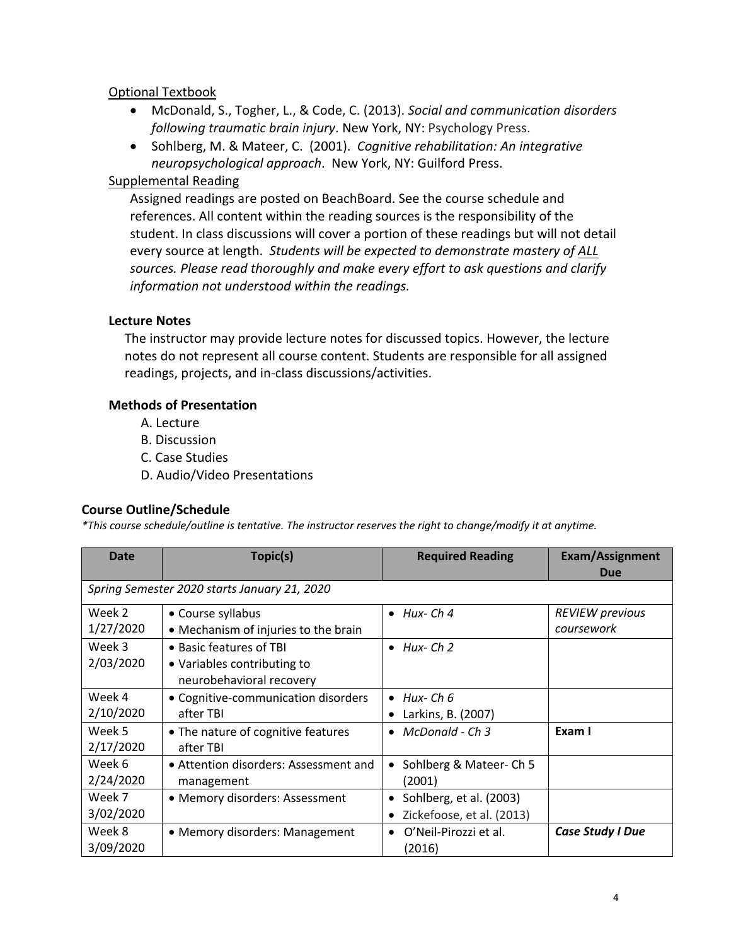# Optional Textbook

- McDonald, S., Togher, L., & Code, C. (2013). *Social and communication disorders following traumatic brain injury*. New York, NY: Psychology Press.
- Sohlberg, M. & Mateer, C. (2001). *Cognitive rehabilitation: An integrative neuropsychological approach*. New York, NY: Guilford Press.

# Supplemental Reading

Assigned readings are posted on BeachBoard. See the course schedule and references. All content within the reading sources is the responsibility of the student. In class discussions will cover a portion of these readings but will not detail every source at length.*Students will be expected to demonstrate mastery of ALL sources. Please read thoroughly and make every effort to ask questions and clarify information not understood within the readings.* 

### **Lecture Notes**

The instructor may provide lecture notes for discussed topics. However, the lecture notes do not represent all course content. Students are responsible for all assigned readings, projects, and in-class discussions/activities.

### **Methods of Presentation**

- A. Lecture
- B. Discussion
- C. Case Studies
- D. Audio/Video Presentations

#### **Course Outline/Schedule**

*\*This course schedule/outline is tentative. The instructor reserves the right to change/modify it at anytime.*

| <b>Date</b>         | Topic(s)                                                                           | <b>Required Reading</b>                                           | <b>Exam/Assignment</b><br>Due        |
|---------------------|------------------------------------------------------------------------------------|-------------------------------------------------------------------|--------------------------------------|
|                     | Spring Semester 2020 starts January 21, 2020                                       |                                                                   |                                      |
| Week 2<br>1/27/2020 | • Course syllabus<br>• Mechanism of injuries to the brain                          | $\bullet$ Hux-Ch4                                                 | <b>REVIEW previous</b><br>coursework |
| Week 3<br>2/03/2020 | • Basic features of TBI<br>• Variables contributing to<br>neurobehavioral recovery | Hux-Ch 2<br>$\bullet$                                             |                                      |
| Week 4<br>2/10/2020 | • Cognitive-communication disorders<br>after TBI                                   | $\bullet$ Hux-Ch 6<br>Larkins, B. (2007)                          |                                      |
| Week 5<br>2/17/2020 | • The nature of cognitive features<br>after TBI                                    | McDonald - Ch 3                                                   | Exam I                               |
| Week 6<br>2/24/2020 | • Attention disorders: Assessment and<br>management                                | Sohlberg & Mateer-Ch 5<br>(2001)                                  |                                      |
| Week 7<br>3/02/2020 | • Memory disorders: Assessment                                                     | Sohlberg, et al. (2003)<br>$\bullet$<br>Zickefoose, et al. (2013) |                                      |
| Week 8<br>3/09/2020 | • Memory disorders: Management                                                     | O'Neil-Pirozzi et al.<br>(2016)                                   | Case Study I Due                     |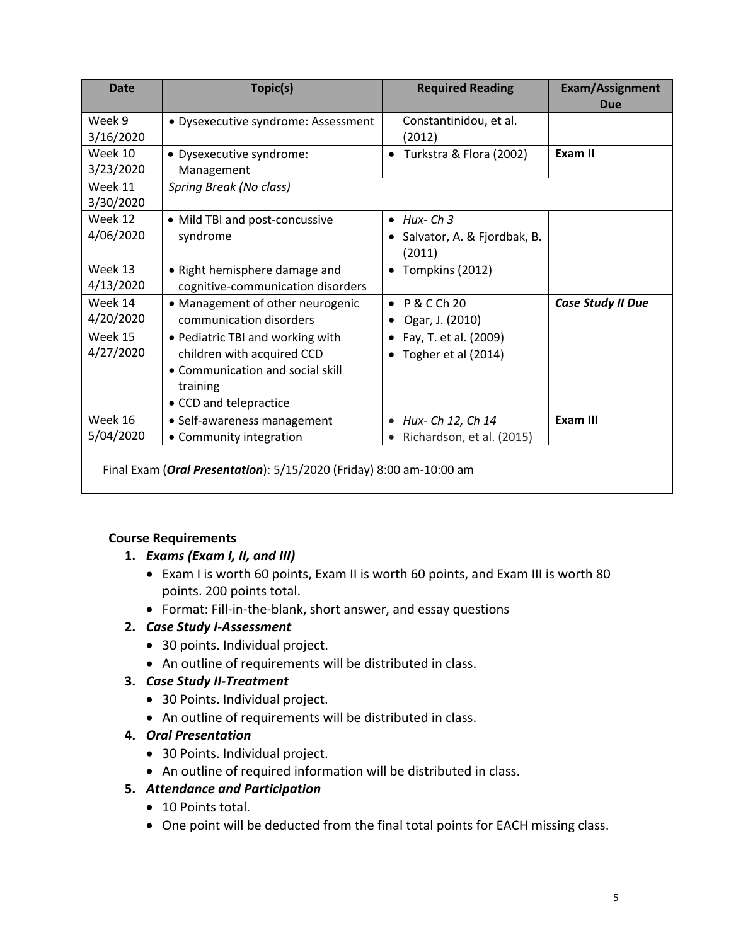| <b>Date</b>          | Topic(s)                                                                                                                                 | <b>Required Reading</b>                                                | <b>Exam/Assignment</b><br><b>Due</b> |
|----------------------|------------------------------------------------------------------------------------------------------------------------------------------|------------------------------------------------------------------------|--------------------------------------|
| Week 9<br>3/16/2020  | · Dysexecutive syndrome: Assessment                                                                                                      | Constantinidou, et al.<br>(2012)                                       |                                      |
| Week 10<br>3/23/2020 | · Dysexecutive syndrome:<br>Management                                                                                                   | Turkstra & Flora (2002)<br>$\bullet$                                   | Exam II                              |
| Week 11<br>3/30/2020 | <b>Spring Break (No class)</b>                                                                                                           |                                                                        |                                      |
| Week 12<br>4/06/2020 | • Mild TBI and post-concussive<br>syndrome                                                                                               | $\bullet$ Hux-Ch <sub>3</sub><br>Salvator, A. & Fjordbak, B.<br>(2011) |                                      |
| Week 13<br>4/13/2020 | • Right hemisphere damage and<br>cognitive-communication disorders                                                                       | Tompkins (2012)<br>$\bullet$                                           |                                      |
| Week 14<br>4/20/2020 | • Management of other neurogenic<br>communication disorders                                                                              | P & C Ch 20<br>Ogar, J. (2010)                                         | <b>Case Study II Due</b>             |
| Week 15<br>4/27/2020 | • Pediatric TBI and working with<br>children with acquired CCD<br>• Communication and social skill<br>training<br>• CCD and telepractice | Fay, T. et al. (2009)<br>$\bullet$<br>Togher et al (2014)              |                                      |
| Week 16<br>5/04/2020 | • Self-awareness management<br>• Community integration                                                                                   | Hux- Ch 12, Ch 14<br>$\bullet$<br>Richardson, et al. (2015)            | Exam III                             |
|                      | Final Exam (Oral Presentation): 5/15/2020 (Friday) 8:00 am-10:00 am                                                                      |                                                                        |                                      |

# **Course Requirements**

- **1.** *Exams (Exam I, II, and III)*
	- Exam I is worth 60 points, Exam II is worth 60 points, and Exam III is worth 80 points. 200 points total.
	- Format: Fill-in-the-blank, short answer, and essay questions

# **2.** *Case Study I-Assessment*

- 30 points. Individual project.
- An outline of requirements will be distributed in class.

# **3.** *Case Study II-Treatment*

- 30 Points. Individual project.
- An outline of requirements will be distributed in class.

# **4.** *Oral Presentation*

- 30 Points. Individual project.
- An outline of required information will be distributed in class.

# **5.** *Attendance and Participation*

- 10 Points total.
- One point will be deducted from the final total points for EACH missing class.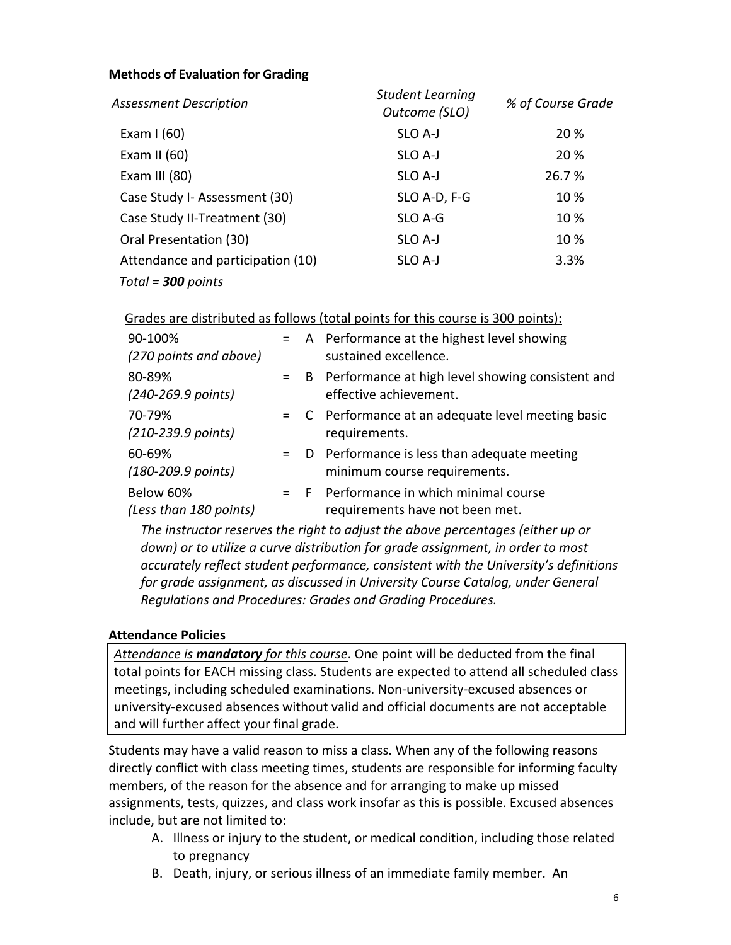#### **Methods of Evaluation for Grading**

| <b>Assessment Description</b>     | <b>Student Learning</b><br>Outcome (SLO) | % of Course Grade |
|-----------------------------------|------------------------------------------|-------------------|
| Exam $1(60)$                      | SLO A-J                                  | 20 %              |
| Exam II $(60)$                    | SLO A-J                                  | 20 %              |
| Exam III $(80)$                   | SLO A-J                                  | 26.7 %            |
| Case Study I- Assessment (30)     | SLO A-D, F-G                             | 10 %              |
| Case Study II-Treatment (30)      | SLO A-G                                  | 10 %              |
| Oral Presentation (30)            | SLO A-J                                  | 10 %              |
| Attendance and participation (10) | SLO A-J                                  | 3.3%              |

*Total = 300 points* 

Grades are distributed as follows (total points for this course is 300 points):

| 90-100%<br>(270 points and above)        |       | = A Performance at the highest level showing<br>sustained excellence.           |
|------------------------------------------|-------|---------------------------------------------------------------------------------|
| 80-89%<br>(240-269.9 points)             | $=$ B | Performance at high level showing consistent and<br>effective achievement.      |
| 70-79%<br>$(210 - 239.9$ points)         |       | = C Performance at an adequate level meeting basic<br>requirements.             |
| 60-69%<br>$(180 - 209.9 \text{ points})$ |       | $=$ D Performance is less than adequate meeting<br>minimum course requirements. |
| Below 60%<br>(Less than 180 points)      |       | $=$ F Performance in which minimal course<br>requirements have not been met.    |

*The instructor reserves the right to adjust the above percentages (either up or down) or to utilize a curve distribution for grade assignment, in order to most accurately reflect student performance, consistent with the University's definitions for grade assignment, as discussed in University Course Catalog, under General Regulations and Procedures: Grades and Grading Procedures.*

#### **Attendance Policies**

*Attendance is mandatory for this course*. One point will be deducted from the final total points for EACH missing class. Students are expected to attend all scheduled class meetings, including scheduled examinations. Non-university-excused absences or university-excused absences without valid and official documents are not acceptable and will further affect your final grade.

Students may have a valid reason to miss a class. When any of the following reasons directly conflict with class meeting times, students are responsible for informing faculty members, of the reason for the absence and for arranging to make up missed assignments, tests, quizzes, and class work insofar as this is possible. Excused absences include, but are not limited to:

- A. Illness or injury to the student, or medical condition, including those related to pregnancy
- B. Death, injury, or serious illness of an immediate family member. An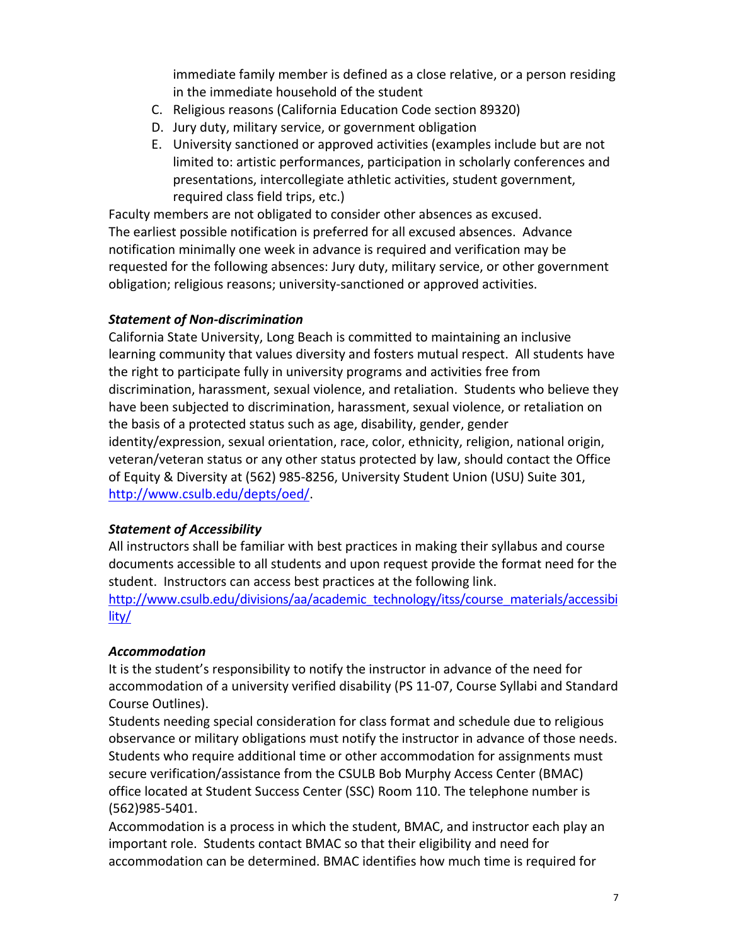immediate family member is defined as a close relative, or a person residing in the immediate household of the student

- C. Religious reasons (California Education Code section 89320)
- D. Jury duty, military service, or government obligation
- E. University sanctioned or approved activities (examples include but are not limited to: artistic performances, participation in scholarly conferences and presentations, intercollegiate athletic activities, student government, required class field trips, etc.)

Faculty members are not obligated to consider other absences as excused. The earliest possible notification is preferred for all excused absences. Advance notification minimally one week in advance is required and verification may be requested for the following absences: Jury duty, military service, or other government obligation; religious reasons; university-sanctioned or approved activities.

# *Statement of Non-discrimination*

California State University, Long Beach is committed to maintaining an inclusive learning community that values diversity and fosters mutual respect. All students have the right to participate fully in university programs and activities free from discrimination, harassment, sexual violence, and retaliation. Students who believe they have been subjected to discrimination, harassment, sexual violence, or retaliation on the basis of a protected status such as age, disability, gender, gender identity/expression, sexual orientation, race, color, ethnicity, religion, national origin, veteran/veteran status or any other status protected by law, should contact the Office of Equity & Diversity at (562) 985-8256, University Student Union (USU) Suite 301, http://www.csulb.edu/depts/oed/.

# *Statement of Accessibility*

All instructors shall be familiar with best practices in making their syllabus and course documents accessible to all students and upon request provide the format need for the student. Instructors can access best practices at the following link.

http://www.csulb.edu/divisions/aa/academic\_technology/itss/course\_materials/accessibi lity/

# *Accommodation*

It is the student's responsibility to notify the instructor in advance of the need for accommodation of a university verified disability (PS 11-07, Course Syllabi and Standard Course Outlines).

Students needing special consideration for class format and schedule due to religious observance or military obligations must notify the instructor in advance of those needs. Students who require additional time or other accommodation for assignments must secure verification/assistance from the CSULB Bob Murphy Access Center (BMAC) office located at Student Success Center (SSC) Room 110. The telephone number is (562)985-5401.

Accommodation is a process in which the student, BMAC, and instructor each play an important role. Students contact BMAC so that their eligibility and need for accommodation can be determined. BMAC identifies how much time is required for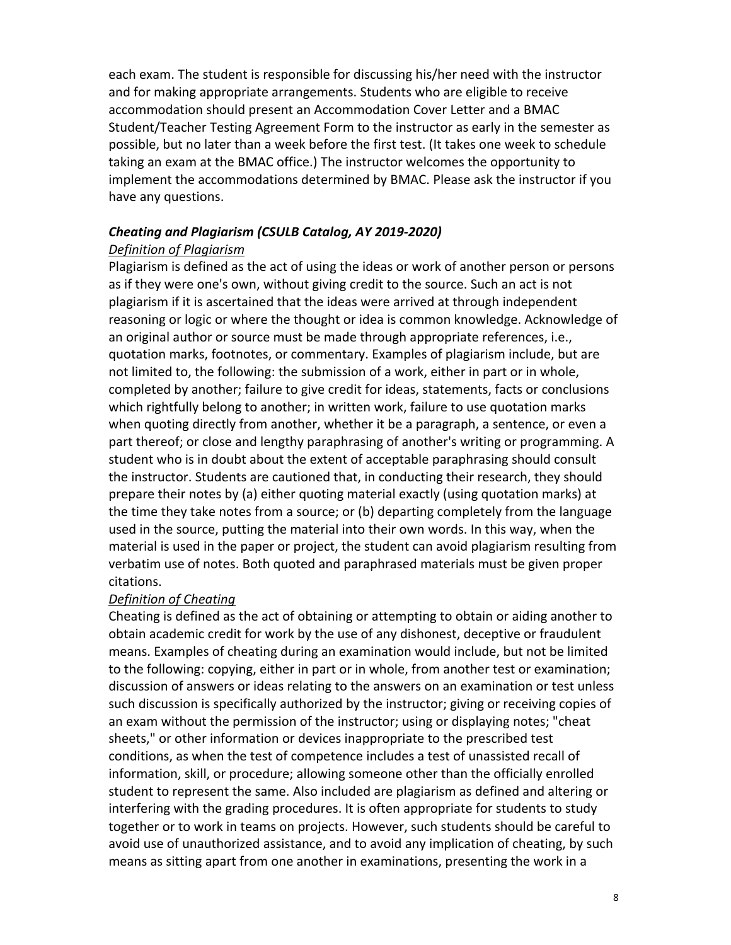each exam. The student is responsible for discussing his/her need with the instructor and for making appropriate arrangements. Students who are eligible to receive accommodation should present an Accommodation Cover Letter and a BMAC Student/Teacher Testing Agreement Form to the instructor as early in the semester as possible, but no later than a week before the first test. (It takes one week to schedule taking an exam at the BMAC office.) The instructor welcomes the opportunity to implement the accommodations determined by BMAC. Please ask the instructor if you have any questions.

# *Cheating and Plagiarism (CSULB Catalog, AY 2019-2020)*

### *Definition of Plagiarism*

Plagiarism is defined as the act of using the ideas or work of another person or persons as if they were one's own, without giving credit to the source. Such an act is not plagiarism if it is ascertained that the ideas were arrived at through independent reasoning or logic or where the thought or idea is common knowledge. Acknowledge of an original author or source must be made through appropriate references, i.e., quotation marks, footnotes, or commentary. Examples of plagiarism include, but are not limited to, the following: the submission of a work, either in part or in whole, completed by another; failure to give credit for ideas, statements, facts or conclusions which rightfully belong to another; in written work, failure to use quotation marks when quoting directly from another, whether it be a paragraph, a sentence, or even a part thereof; or close and lengthy paraphrasing of another's writing or programming. A student who is in doubt about the extent of acceptable paraphrasing should consult the instructor. Students are cautioned that, in conducting their research, they should prepare their notes by (a) either quoting material exactly (using quotation marks) at the time they take notes from a source; or (b) departing completely from the language used in the source, putting the material into their own words. In this way, when the material is used in the paper or project, the student can avoid plagiarism resulting from verbatim use of notes. Both quoted and paraphrased materials must be given proper citations.

#### *Definition of Cheating*

Cheating is defined as the act of obtaining or attempting to obtain or aiding another to obtain academic credit for work by the use of any dishonest, deceptive or fraudulent means. Examples of cheating during an examination would include, but not be limited to the following: copying, either in part or in whole, from another test or examination; discussion of answers or ideas relating to the answers on an examination or test unless such discussion is specifically authorized by the instructor; giving or receiving copies of an exam without the permission of the instructor; using or displaying notes; "cheat sheets," or other information or devices inappropriate to the prescribed test conditions, as when the test of competence includes a test of unassisted recall of information, skill, or procedure; allowing someone other than the officially enrolled student to represent the same. Also included are plagiarism as defined and altering or interfering with the grading procedures. It is often appropriate for students to study together or to work in teams on projects. However, such students should be careful to avoid use of unauthorized assistance, and to avoid any implication of cheating, by such means as sitting apart from one another in examinations, presenting the work in a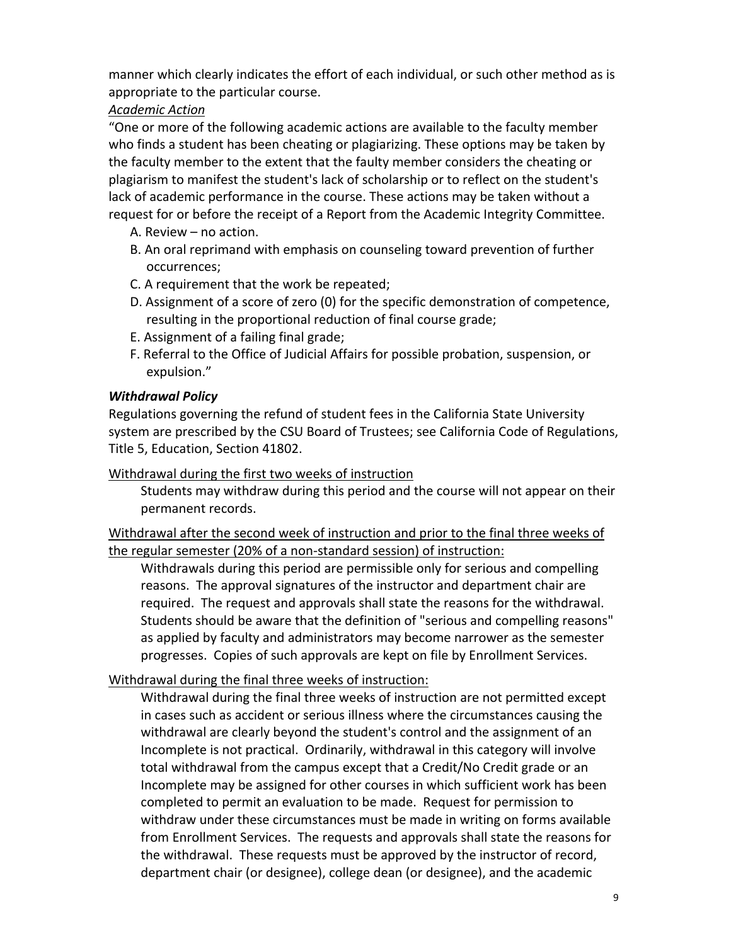manner which clearly indicates the effort of each individual, or such other method as is appropriate to the particular course.

# *Academic Action*

"One or more of the following academic actions are available to the faculty member who finds a student has been cheating or plagiarizing. These options may be taken by the faculty member to the extent that the faulty member considers the cheating or plagiarism to manifest the student's lack of scholarship or to reflect on the student's lack of academic performance in the course. These actions may be taken without a request for or before the receipt of a Report from the Academic Integrity Committee.

- A. Review no action.
- B. An oral reprimand with emphasis on counseling toward prevention of further occurrences;
- C. A requirement that the work be repeated;
- D. Assignment of a score of zero (0) for the specific demonstration of competence, resulting in the proportional reduction of final course grade;
- E. Assignment of a failing final grade;
- F. Referral to the Office of Judicial Affairs for possible probation, suspension, or expulsion."

# *Withdrawal Policy*

Regulations governing the refund of student fees in the California State University system are prescribed by the CSU Board of Trustees; see California Code of Regulations, Title 5, Education, Section 41802.

Withdrawal during the first two weeks of instruction

Students may withdraw during this period and the course will not appear on their permanent records.

Withdrawal after the second week of instruction and prior to the final three weeks of the regular semester (20% of a non-standard session) of instruction:

Withdrawals during this period are permissible only for serious and compelling reasons. The approval signatures of the instructor and department chair are required. The request and approvals shall state the reasons for the withdrawal. Students should be aware that the definition of "serious and compelling reasons" as applied by faculty and administrators may become narrower as the semester progresses. Copies of such approvals are kept on file by Enrollment Services.

# Withdrawal during the final three weeks of instruction:

Withdrawal during the final three weeks of instruction are not permitted except in cases such as accident or serious illness where the circumstances causing the withdrawal are clearly beyond the student's control and the assignment of an Incomplete is not practical. Ordinarily, withdrawal in this category will involve total withdrawal from the campus except that a Credit/No Credit grade or an Incomplete may be assigned for other courses in which sufficient work has been completed to permit an evaluation to be made. Request for permission to withdraw under these circumstances must be made in writing on forms available from Enrollment Services. The requests and approvals shall state the reasons for the withdrawal. These requests must be approved by the instructor of record, department chair (or designee), college dean (or designee), and the academic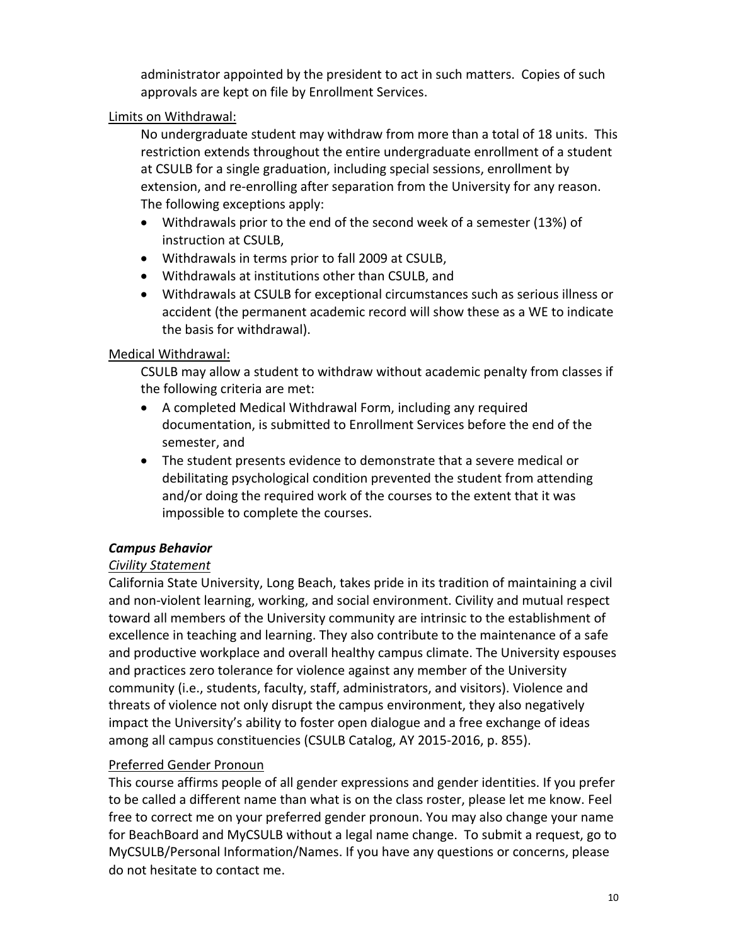administrator appointed by the president to act in such matters. Copies of such approvals are kept on file by Enrollment Services.

# Limits on Withdrawal:

No undergraduate student may withdraw from more than a total of 18 units. This restriction extends throughout the entire undergraduate enrollment of a student at CSULB for a single graduation, including special sessions, enrollment by extension, and re-enrolling after separation from the University for any reason. The following exceptions apply:

- Withdrawals prior to the end of the second week of a semester (13%) of instruction at CSULB,
- Withdrawals in terms prior to fall 2009 at CSULB,
- Withdrawals at institutions other than CSULB, and
- Withdrawals at CSULB for exceptional circumstances such as serious illness or accident (the permanent academic record will show these as a WE to indicate the basis for withdrawal).

# Medical Withdrawal:

CSULB may allow a student to withdraw without academic penalty from classes if the following criteria are met:

- A completed Medical Withdrawal Form, including any required documentation, is submitted to Enrollment Services before the end of the semester, and
- The student presents evidence to demonstrate that a severe medical or debilitating psychological condition prevented the student from attending and/or doing the required work of the courses to the extent that it was impossible to complete the courses.

# *Campus Behavior*

# *Civility Statement*

California State University, Long Beach, takes pride in its tradition of maintaining a civil and non-violent learning, working, and social environment. Civility and mutual respect toward all members of the University community are intrinsic to the establishment of excellence in teaching and learning. They also contribute to the maintenance of a safe and productive workplace and overall healthy campus climate. The University espouses and practices zero tolerance for violence against any member of the University community (i.e., students, faculty, staff, administrators, and visitors). Violence and threats of violence not only disrupt the campus environment, they also negatively impact the University's ability to foster open dialogue and a free exchange of ideas among all campus constituencies (CSULB Catalog, AY 2015-2016, p. 855).

# Preferred Gender Pronoun

This course affirms people of all gender expressions and gender identities. If you prefer to be called a different name than what is on the class roster, please let me know. Feel free to correct me on your preferred gender pronoun. You may also change your name for BeachBoard and MyCSULB without a legal name change. To submit a request, go to MyCSULB/Personal Information/Names. If you have any questions or concerns, please do not hesitate to contact me.